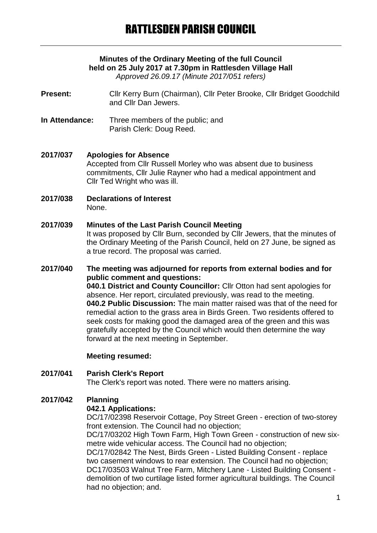# **Minutes of the Ordinary Meeting of the full Council held on 25 July 2017 at 7.30pm in Rattlesden Village Hall**

*Approved 26.09.17 (Minute 2017/051 refers)*

- **Present:** Cllr Kerry Burn (Chairman), Cllr Peter Brooke, Cllr Bridget Goodchild and Cllr Dan Jewers.
- **In Attendance:** Three members of the public; and Parish Clerk: Doug Reed.

### **2017/037 Apologies for Absence**

Accepted from Cllr Russell Morley who was absent due to business commitments, Cllr Julie Rayner who had a medical appointment and Cllr Ted Wright who was ill.

**2017/038 Declarations of Interest** None.

### **2017/039 Minutes of the Last Parish Council Meeting**

It was proposed by Cllr Burn, seconded by Cllr Jewers, that the minutes of the Ordinary Meeting of the Parish Council, held on 27 June, be signed as a true record. The proposal was carried.

# **2017/040 The meeting was adjourned for reports from external bodies and for public comment and questions:**

**040.1 District and County Councillor:** Cllr Otton had sent apologies for absence. Her report, circulated previously, was read to the meeting. **040.2 Public Discussion:** The main matter raised was that of the need for remedial action to the grass area in Birds Green. Two residents offered to seek costs for making good the damaged area of the green and this was gratefully accepted by the Council which would then determine the way forward at the next meeting in September.

### **Meeting resumed:**

## **2017/041 Parish Clerk's Report** The Clerk's report was noted. There were no matters arising.

# **2017/042 Planning**

### **042.1 Applications:**

DC/17/02398 Reservoir Cottage, Poy Street Green - erection of two-storey front extension. The Council had no objection;

DC/17/03202 High Town Farm, High Town Green - construction of new sixmetre wide vehicular access. The Council had no objection;

DC/17/02842 The Nest, Birds Green - Listed Building Consent - replace two casement windows to rear extension. The Council had no objection; DC17/03503 Walnut Tree Farm, Mitchery Lane - Listed Building Consent demolition of two curtilage listed former agricultural buildings. The Council had no objection; and.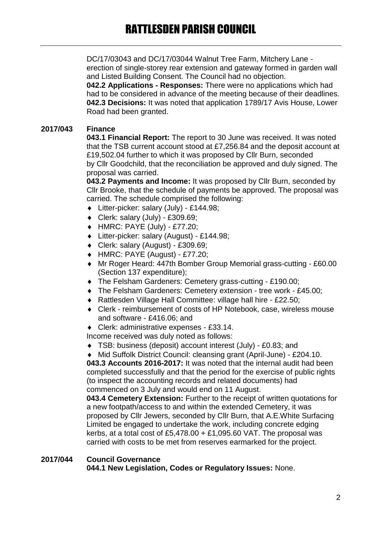DC/17/03043 and DC/17/03044 Walnut Tree Farm, Mitchery Lane erection of single-storey rear extension and gateway formed in garden wall and Listed Building Consent. The Council had no objection.

**042.2 Applications - Responses:** There were no applications which had had to be considered in advance of the meeting because of their deadlines. **042.3 Decisions:** It was noted that application 1789/17 Avis House, Lower Road had been granted.

## **2017/043 Finance**

**043.1 Financial Report:** The report to 30 June was received. It was noted that the TSB current account stood at £7,256.84 and the deposit account at £19,502.04 further to which it was proposed by Cllr Burn, seconded by Cllr Goodchild, that the reconciliation be approved and duly signed. The proposal was carried.

**043.2 Payments and Income:** It was proposed by Cllr Burn, seconded by Cllr Brooke, that the schedule of payments be approved. The proposal was carried. The schedule comprised the following:

- Litter-picker: salary (July) £144.98;
- $\bullet$  Clerk: salary (July) £309.69;
- HMRC: PAYE (July) £77.20;
- Litter-picker: salary (August) £144.98;
- Clerk: salary (August) £309.69;
- HMRC: PAYE (August) £77.20;
- Mr Roger Heard: 447th Bomber Group Memorial grass-cutting £60.00 (Section 137 expenditure);
- The Felsham Gardeners: Cemetery grass-cutting £190.00;
- The Felsham Gardeners: Cemetery extension tree work £45.00;
- ◆ Rattlesden Village Hall Committee: village hall hire £22.50;
- Clerk reimbursement of costs of HP Notebook, case, wireless mouse and software - £416.06; and
- Clerk: administrative expenses £33.14.

Income received was duly noted as follows:

TSB: business (deposit) account interest (July) - £0.83; and

 Mid Suffolk District Council: cleansing grant (April-June) - £204.10. **043.3 Accounts 2016-2017:** It was noted that the internal audit had been completed successfully and that the period for the exercise of public rights (to inspect the accounting records and related documents) had commenced on 3 July and would end on 11 August.

**043.4 Cemetery Extension:** Further to the receipt of written quotations for a new footpath/access to and within the extended Cemetery, it was proposed by Cllr Jewers, seconded by Cllr Burn, that A.E.White Surfacing Limited be engaged to undertake the work, including concrete edging kerbs, at a total cost of £5,478.00 + £1,095.60 VAT. The proposal was carried with costs to be met from reserves earmarked for the project.

#### **2017/044 Council Governance 044.1 New Legislation, Codes or Regulatory Issues:** None.